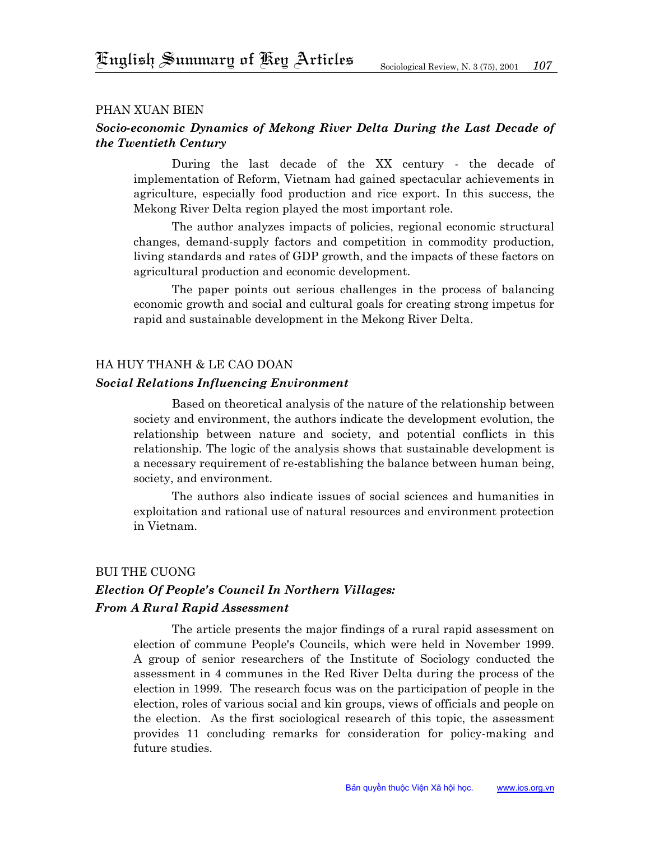#### phan xuAN BIEN

## *Socio-economic Dynamics of Mekong River Delta During the Last Decade of the Twentieth Century*

During the last decade of the XX century - the decade of implementation of Reform, Vietnam had gained spectacular achievements in agriculture, especially food production and rice export. In this success, the Mekong River Delta region played the most important role.

The author analyzes impacts of policies, regional economic structural changes, demand-supply factors and competition in commodity production, living standards and rates of GDP growth, and the impacts of these factors on agricultural production and economic development.

The paper points out serious challenges in the process of balancing economic growth and social and cultural goals for creating strong impetus for rapid and sustainable development in the Mekong River Delta.

#### HA HUY THANH & Le cao doan

#### *Social Relations Influencing Environment*

Based on theoretical analysis of the nature of the relationship between society and environment, the authors indicate the development evolution, the relationship between nature and society, and potential conflicts in this relationship. The logic of the analysis shows that sustainable development is a necessary requirement of re-establishing the balance between human being, society, and environment.

The authors also indicate issues of social sciences and humanities in exploitation and rational use of natural resources and environment protection in Vietnam.

#### Bui The Cuong

# *Election Of People's Council In Northern Villages: From A Rural Rapid Assessment*

The article presents the major findings of a rural rapid assessment on election of commune People's Councils, which were held in November 1999. A group of senior researchers of the Institute of Sociology conducted the assessment in 4 communes in the Red River Delta during the process of the election in 1999. The research focus was on the participation of people in the election, roles of various social and kin groups, views of officials and people on the election. As the first sociological research of this topic, the assessment provides 11 concluding remarks for consideration for policy-making and future studies.